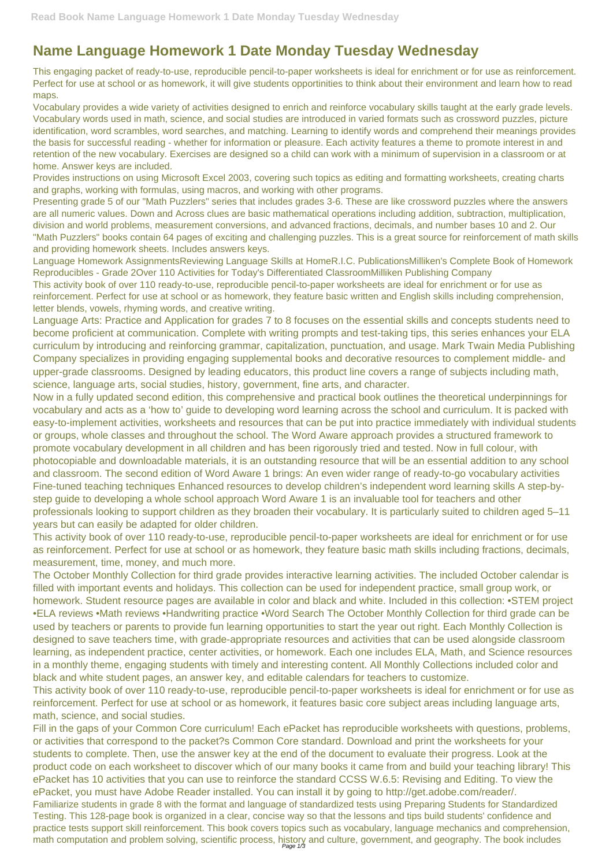## **Name Language Homework 1 Date Monday Tuesday Wednesday**

This engaging packet of ready-to-use, reproducible pencil-to-paper worksheets is ideal for enrichment or for use as reinforcement. Perfect for use at school or as homework, it will give students opportinities to think about their environment and learn how to read maps.

Vocabulary provides a wide variety of activities designed to enrich and reinforce vocabulary skills taught at the early grade levels. Vocabulary words used in math, science, and social studies are introduced in varied formats such as crossword puzzles, picture identification, word scrambles, word searches, and matching. Learning to identify words and comprehend their meanings provides the basis for successful reading - whether for information or pleasure. Each activity features a theme to promote interest in and retention of the new vocabulary. Exercises are designed so a child can work with a minimum of supervision in a classroom or at home. Answer keys are included.

Provides instructions on using Microsoft Excel 2003, covering such topics as editing and formatting worksheets, creating charts and graphs, working with formulas, using macros, and working with other programs.

Presenting grade 5 of our "Math Puzzlers" series that includes grades 3-6. These are like crossword puzzles where the answers are all numeric values. Down and Across clues are basic mathematical operations including addition, subtraction, multiplication, division and world problems, measurement conversions, and advanced fractions, decimals, and number bases 10 and 2. Our "Math Puzzlers" books contain 64 pages of exciting and challenging puzzles. This is a great source for reinforcement of math skills and providing homework sheets. Includes answers keys.

Language Homework AssignmentsReviewing Language Skills at HomeR.I.C. PublicationsMilliken's Complete Book of Homework Reproducibles - Grade 2Over 110 Activities for Today's Differentiated ClassroomMilliken Publishing Company This activity book of over 110 ready-to-use, reproducible pencil-to-paper worksheets are ideal for enrichment or for use as reinforcement. Perfect for use at school or as homework, they feature basic written and English skills including comprehension, letter blends, vowels, rhyming words, and creative writing.

Language Arts: Practice and Application for grades 7 to 8 focuses on the essential skills and concepts students need to become proficient at communication. Complete with writing prompts and test-taking tips, this series enhances your ELA curriculum by introducing and reinforcing grammar, capitalization, punctuation, and usage. Mark Twain Media Publishing Company specializes in providing engaging supplemental books and decorative resources to complement middle- and upper-grade classrooms. Designed by leading educators, this product line covers a range of subjects including math, science, language arts, social studies, history, government, fine arts, and character.

Fill in the gaps of your Common Core curriculum! Each ePacket has reproducible worksheets with questions, problems, or activities that correspond to the packet?s Common Core standard. Download and print the worksheets for your students to complete. Then, use the answer key at the end of the document to evaluate their progress. Look at the product code on each worksheet to discover which of our many books it came from and build your teaching library! This ePacket has 10 activities that you can use to reinforce the standard CCSS W.6.5: Revising and Editing. To view the ePacket, you must have Adobe Reader installed. You can install it by going to http://get.adobe.com/reader/. Familiarize students in grade 8 with the format and language of standardized tests using Preparing Students for Standardized Testing. This 128-page book is organized in a clear, concise way so that the lessons and tips build students' confidence and practice tests support skill reinforcement. This book covers topics such as vocabulary, language mechanics and comprehension, math computation and problem solving, scientific process, history and culture, government, and geography. The book includes

Now in a fully updated second edition, this comprehensive and practical book outlines the theoretical underpinnings for vocabulary and acts as a 'how to' guide to developing word learning across the school and curriculum. It is packed with easy-to-implement activities, worksheets and resources that can be put into practice immediately with individual students or groups, whole classes and throughout the school. The Word Aware approach provides a structured framework to promote vocabulary development in all children and has been rigorously tried and tested. Now in full colour, with photocopiable and downloadable materials, it is an outstanding resource that will be an essential addition to any school and classroom. The second edition of Word Aware 1 brings: An even wider range of ready-to-go vocabulary activities Fine-tuned teaching techniques Enhanced resources to develop children's independent word learning skills A step-bystep guide to developing a whole school approach Word Aware 1 is an invaluable tool for teachers and other professionals looking to support children as they broaden their vocabulary. It is particularly suited to children aged 5–11 years but can easily be adapted for older children.

This activity book of over 110 ready-to-use, reproducible pencil-to-paper worksheets are ideal for enrichment or for use as reinforcement. Perfect for use at school or as homework, they feature basic math skills including fractions, decimals, measurement, time, money, and much more.

The October Monthly Collection for third grade provides interactive learning activities. The included October calendar is filled with important events and holidays. This collection can be used for independent practice, small group work, or homework. Student resource pages are available in color and black and white. Included in this collection: •STEM project •ELA reviews •Math reviews •Handwriting practice •Word Search The October Monthly Collection for third grade can be used by teachers or parents to provide fun learning opportunities to start the year out right. Each Monthly Collection is designed to save teachers time, with grade-appropriate resources and activities that can be used alongside classroom learning, as independent practice, center activities, or homework. Each one includes ELA, Math, and Science resources in a monthly theme, engaging students with timely and interesting content. All Monthly Collections included color and black and white student pages, an answer key, and editable calendars for teachers to customize.

This activity book of over 110 ready-to-use, reproducible pencil-to-paper worksheets is ideal for enrichment or for use as reinforcement. Perfect for use at school or as homework, it features basic core subject areas including language arts, math, science, and social studies.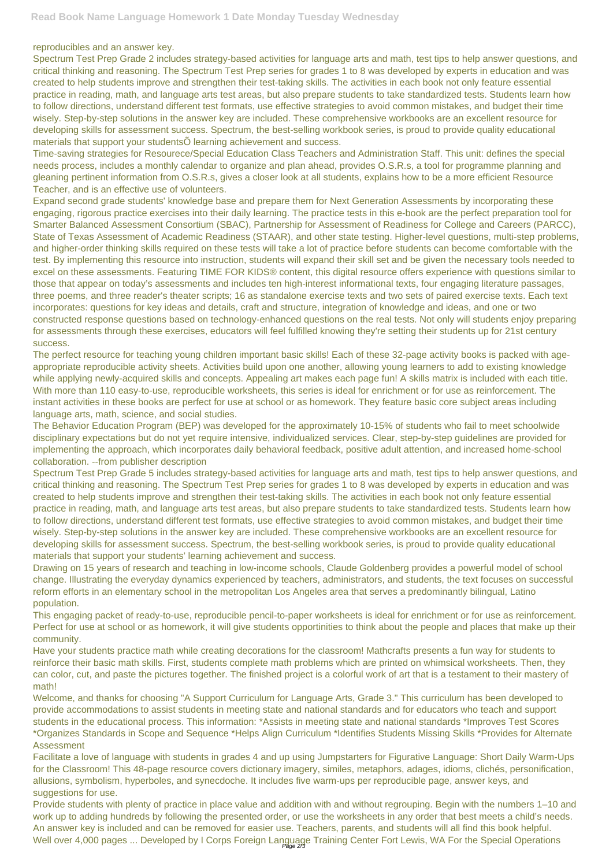reproducibles and an answer key.

Spectrum Test Prep Grade 2 includes strategy-based activities for language arts and math, test tips to help answer questions, and critical thinking and reasoning. The Spectrum Test Prep series for grades 1 to 8 was developed by experts in education and was created to help students improve and strengthen their test-taking skills. The activities in each book not only feature essential practice in reading, math, and language arts test areas, but also prepare students to take standardized tests. Students learn how to follow directions, understand different test formats, use effective strategies to avoid common mistakes, and budget their time wisely. Step-by-step solutions in the answer key are included. These comprehensive workbooks are an excellent resource for developing skills for assessment success. Spectrum, the best-selling workbook series, is proud to provide quality educational materials that support your studentsÕ learning achievement and success.

Time-saving strategies for Resourece/Special Education Class Teachers and Administration Staff. This unit: defines the special needs process, includes a monthly calendar to organize and plan ahead, provides O.S.R.s, a tool for programme planning and gleaning pertinent information from O.S.R.s, gives a closer look at all students, explains how to be a more efficient Resource Teacher, and is an effective use of volunteers.

Expand second grade students' knowledge base and prepare them for Next Generation Assessments by incorporating these engaging, rigorous practice exercises into their daily learning. The practice tests in this e-book are the perfect preparation tool for Smarter Balanced Assessment Consortium (SBAC), Partnership for Assessment of Readiness for College and Careers (PARCC), State of Texas Assessment of Academic Readiness (STAAR), and other state testing. Higher-level questions, multi-step problems, and higher-order thinking skills required on these tests will take a lot of practice before students can become comfortable with the test. By implementing this resource into instruction, students will expand their skill set and be given the necessary tools needed to excel on these assessments. Featuring TIME FOR KIDS® content, this digital resource offers experience with questions similar to those that appear on today's assessments and includes ten high-interest informational texts, four engaging literature passages, three poems, and three reader's theater scripts; 16 as standalone exercise texts and two sets of paired exercise texts. Each text incorporates: questions for key ideas and details, craft and structure, integration of knowledge and ideas, and one or two constructed response questions based on technology-enhanced questions on the real tests. Not only will students enjoy preparing for assessments through these exercises, educators will feel fulfilled knowing they're setting their students up for 21st century success.

The perfect resource for teaching young children important basic skills! Each of these 32-page activity books is packed with ageappropriate reproducible activity sheets. Activities build upon one another, allowing young learners to add to existing knowledge while applying newly-acquired skills and concepts. Appealing art makes each page fun! A skills matrix is included with each title. With more than 110 easy-to-use, reproducible worksheets, this series is ideal for enrichment or for use as reinforcement. The instant activities in these books are perfect for use at school or as homework. They feature basic core subject areas including language arts, math, science, and social studies.

Provide students with plenty of practice in place value and addition with and without regrouping. Begin with the numbers 1–10 and work up to adding hundreds by following the presented order, or use the worksheets in any order that best meets a child's needs. An answer key is included and can be removed for easier use. Teachers, parents, and students will all find this book helpful. Well over 4,000 pages ... Developed by I Corps Foreign Language Training Center Fort Lewis, WA For the Special Operations

The Behavior Education Program (BEP) was developed for the approximately 10-15% of students who fail to meet schoolwide disciplinary expectations but do not yet require intensive, individualized services. Clear, step-by-step guidelines are provided for implementing the approach, which incorporates daily behavioral feedback, positive adult attention, and increased home-school collaboration. --from publisher description

Spectrum Test Prep Grade 5 includes strategy-based activities for language arts and math, test tips to help answer questions, and critical thinking and reasoning. The Spectrum Test Prep series for grades 1 to 8 was developed by experts in education and was created to help students improve and strengthen their test-taking skills. The activities in each book not only feature essential practice in reading, math, and language arts test areas, but also prepare students to take standardized tests. Students learn how to follow directions, understand different test formats, use effective strategies to avoid common mistakes, and budget their time wisely. Step-by-step solutions in the answer key are included. These comprehensive workbooks are an excellent resource for developing skills for assessment success. Spectrum, the best-selling workbook series, is proud to provide quality educational materials that support your students' learning achievement and success.

Drawing on 15 years of research and teaching in low-income schools, Claude Goldenberg provides a powerful model of school change. Illustrating the everyday dynamics experienced by teachers, administrators, and students, the text focuses on successful reform efforts in an elementary school in the metropolitan Los Angeles area that serves a predominantly bilingual, Latino population.

This engaging packet of ready-to-use, reproducible pencil-to-paper worksheets is ideal for enrichment or for use as reinforcement. Perfect for use at school or as homework, it will give students opportinities to think about the people and places that make up their community.

Have your students practice math while creating decorations for the classroom! Mathcrafts presents a fun way for students to

reinforce their basic math skills. First, students complete math problems which are printed on whimsical worksheets. Then, they can color, cut, and paste the pictures together. The finished project is a colorful work of art that is a testament to their mastery of math!

Welcome, and thanks for choosing "A Support Curriculum for Language Arts, Grade 3." This curriculum has been developed to provide accommodations to assist students in meeting state and national standards and for educators who teach and support students in the educational process. This information: \*Assists in meeting state and national standards \*Improves Test Scores \*Organizes Standards in Scope and Sequence \*Helps Align Curriculum \*Identifies Students Missing Skills \*Provides for Alternate Assessment

Facilitate a love of language with students in grades 4 and up using Jumpstarters for Figurative Language: Short Daily Warm-Ups for the Classroom! This 48-page resource covers dictionary imagery, similes, metaphors, adages, idioms, clichés, personification, allusions, symbolism, hyperboles, and synecdoche. It includes five warm-ups per reproducible page, answer keys, and suggestions for use.